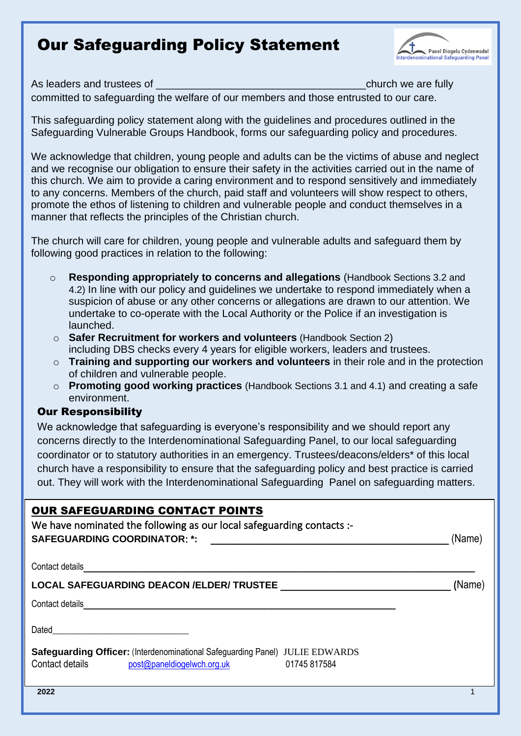# Our Safeguarding Policy Statement



As leaders and trustees of  $\blacksquare$ committed to safeguarding the welfare of our members and those entrusted to our care.

This safeguarding policy statement along with the guidelines and procedures outlined in the Safeguarding Vulnerable Groups Handbook, forms our safeguarding policy and procedures.

We acknowledge that children, young people and adults can be the victims of abuse and neglect and we recognise our obligation to ensure their safety in the activities carried out in the name of this church. We aim to provide a caring environment and to respond sensitively and immediately to any concerns. Members of the church, paid staff and volunteers will show respect to others, promote the ethos of listening to children and vulnerable people and conduct themselves in a manner that reflects the principles of the Christian church.

The church will care for children, young people and vulnerable adults and safeguard them by following good practices in relation to the following:

- o **Responding appropriately to concerns and allegations** (Handbook Sections 3.2 and 4.2) In line with our policy and guidelines we undertake to respond immediately when a suspicion of abuse or any other concerns or allegations are drawn to our attention. We undertake to co-operate with the Local Authority or the Police if an investigation is launched.
- o **Safer Recruitment for workers and volunteers** (Handbook Section 2) including DBS checks every 4 years for eligible workers, leaders and trustees.
- o **Training and supporting our workers and volunteers** in their role and in the protection of children and vulnerable people.
- o **Promoting good working practices** (Handbook Sections 3.1 and 4.1) and creating a safe environment.

#### Our Responsibility

We acknowledge that safeguarding is everyone's responsibility and we should report any concerns directly to the Interdenominational Safeguarding Panel, to our local safeguarding coordinator or to statutory authorities in an emergency. Trustees/deacons/elders\* of this local church have a responsibility to ensure that the safeguarding policy and best practice is carried out. They will work with the Interdenominational Safeguarding Panel on safeguarding matters.

| <b>OUR SAFEGUARDING CONTACT POINTS</b><br>We have nominated the following as our local safeguarding contacts :-<br><b>SAFEGUARDING COORDINATOR: *:</b> | (Name) |
|--------------------------------------------------------------------------------------------------------------------------------------------------------|--------|
| Contact details                                                                                                                                        |        |
| <b>LOCAL SAFEGUARDING DEACON /ELDER/ TRUSTEE</b>                                                                                                       | (Name) |
| Contact details                                                                                                                                        |        |
| Dated                                                                                                                                                  |        |
| <b>Safeguarding Officer: (Interdenominational Safeguarding Panel) JULIE EDWARDS</b><br>Contact details<br>post@paneldiogelwch.org.uk<br>01745 817584   |        |
| 2022                                                                                                                                                   |        |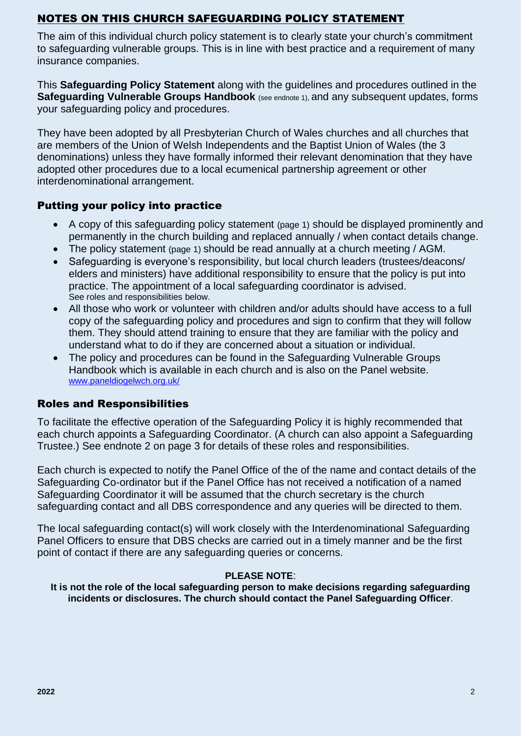# NOTES ON THIS CHURCH SAFEGUARDING POLICY STATEMENT

The aim of this individual church policy statement is to clearly state your church's commitment to safeguarding vulnerable groups. This is in line with best practice and a requirement of many insurance companies.

This **Safeguarding Policy Statement** along with the guidelines and procedures outlined in the **Safeguarding Vulnerable Groups Handbook** (see endnote 1), and any subsequent updates, forms your safeguarding policy and procedures.

They have been adopted by all Presbyterian Church of Wales churches and all churches that are members of the Union of Welsh Independents and the Baptist Union of Wales (the 3 denominations) unless they have formally informed their relevant denomination that they have adopted other procedures due to a local ecumenical partnership agreement or other interdenominational arrangement.

#### Putting your policy into practice

- A copy of this safeguarding policy statement (page 1) should be displayed prominently and permanently in the church building and replaced annually / when contact details change.
- The policy statement (page 1) should be read annually at a church meeting / AGM.
- Safeguarding is everyone's responsibility, but local church leaders (trustees/deacons/ elders and ministers) have additional responsibility to ensure that the policy is put into practice. The appointment of a local safeguarding coordinator is advised. See roles and responsibilities below.
- All those who work or volunteer with children and/or adults should have access to a full copy of the safeguarding policy and procedures and sign to confirm that they will follow them. They should attend training to ensure that they are familiar with the policy and understand what to do if they are concerned about a situation or individual.
- The policy and procedures can be found in the Safeguarding Vulnerable Groups Handbook which is available in each church and is also on the Panel website. [www.paneldiogelwch.org.uk/](https://www.paneldiogelwch.org.uk/en/)

# Roles and Responsibilities

To facilitate the effective operation of the Safeguarding Policy it is highly recommended that each church appoints a Safeguarding Coordinator. (A church can also appoint a Safeguarding Trustee.) See endnote 2 on page 3 for details of these roles and responsibilities.

Each church is expected to notify the Panel Office of the of the name and contact details of the Safeguarding Co-ordinator but if the Panel Office has not received a notification of a named Safeguarding Coordinator it will be assumed that the church secretary is the church safeguarding contact and all DBS correspondence and any queries will be directed to them.

The local safeguarding contact(s) will work closely with the Interdenominational Safeguarding Panel Officers to ensure that DBS checks are carried out in a timely manner and be the first point of contact if there are any safeguarding queries or concerns.

#### **PLEASE NOTE**:

**It is not the role of the local safeguarding person to make decisions regarding safeguarding incidents or disclosures. The church should contact the Panel Safeguarding Officer**.